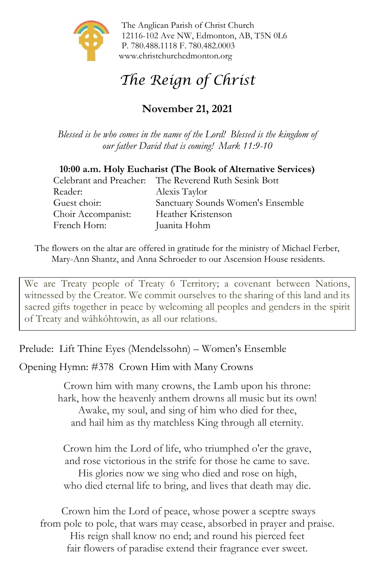

The Anglican Parish of Christ Church 12116-102 Ave NW, Edmonton, AB, T5N 0L6 P. 780.488.1118 F. 780.482.0003 [www.christchurchedmonton.org](http://www.christchurchedmonton.org/)

# *The Reign of Christ*

# **November 21, 2021**

*Blessed is he who comes in the name of the Lord! Blessed is the kingdom of our father David that is coming! Mark 11:9-10*

#### **10:00 a.m. Holy Eucharist (The Book of Alternative Services)**

|                    | Celebrant and Preacher: The Reverend Ruth Sesink Bott |
|--------------------|-------------------------------------------------------|
| Reader:            | Alexis Taylor                                         |
| Guest choir:       | Sanctuary Sounds Women's Ensemble                     |
| Choir Accompanist: | Heather Kristenson                                    |
| French Horn:       | Juanita Hohm                                          |

The flowers on the altar are offered in gratitude for the ministry of Michael Ferber, Mary-Ann Shantz, and Anna Schroeder to our Ascension House residents.

We are Treaty people of Treaty 6 Territory; a covenant between Nations, witnessed by the Creator. We commit ourselves to the sharing of this land and its sacred gifts together in peace by welcoming all peoples and genders in the spirit of Treaty and wâhkôhtowin, as all our relations.

Prelude: Lift Thine Eyes (Mendelssohn) – Women's Ensemble

Opening Hymn: #378 Crown Him with Many Crowns

Crown him with many crowns, the Lamb upon his throne: hark, how the heavenly anthem drowns all music but its own! Awake, my soul, and sing of him who died for thee, and hail him as thy matchless King through all eternity.

Crown him the Lord of life, who triumphed o'er the grave, and rose victorious in the strife for those he came to save. His glories now we sing who died and rose on high, who died eternal life to bring, and lives that death may die.

Crown him the Lord of peace, whose power a sceptre sways from pole to pole, that wars may cease, absorbed in prayer and praise. His reign shall know no end; and round his pierced feet fair flowers of paradise extend their fragrance ever sweet.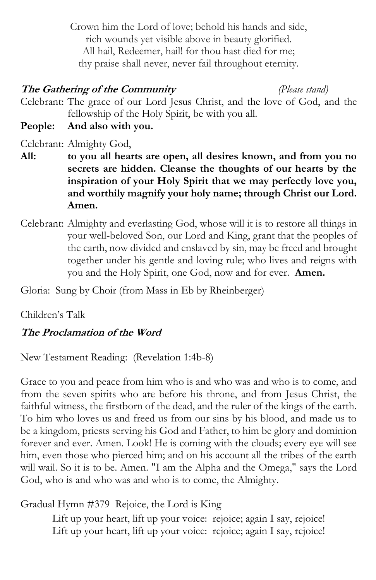Crown him the Lord of love; behold his hands and side, rich wounds yet visible above in beauty glorified. All hail, Redeemer, hail! for thou hast died for me; thy praise shall never, never fail throughout eternity.

## **The Gathering of the Community** *(Please stand)*

Celebrant: The grace of our Lord Jesus Christ, and the love of God, and the fellowship of the Holy Spirit, be with you all.

**People: And also with you.**

Celebrant: Almighty God,

- **All: to you all hearts are open, all desires known, and from you no secrets are hidden. Cleanse the thoughts of our hearts by the inspiration of your Holy Spirit that we may perfectly love you, and worthily magnify your holy name; through Christ our Lord. Amen.**
- Celebrant: Almighty and everlasting God, whose will it is to restore all things in your well-beloved Son, our Lord and King, grant that the peoples of the earth, now divided and enslaved by sin, may be freed and brought together under his gentle and loving rule; who lives and reigns with you and the Holy Spirit, one God, now and for ever. **Amen.**

Gloria: Sung by Choir (from Mass in Eb by Rheinberger)

Children's Talk

# **The Proclamation of the Word**

New Testament Reading: (Revelation 1:4b-8)

Grace to you and peace from him who is and who was and who is to come, and from the seven spirits who are before his throne, and from Jesus Christ, the faithful witness, the firstborn of the dead, and the ruler of the kings of the earth. To him who loves us and freed us from our sins by his blood, and made us to be a kingdom, priests serving his God and Father, to him be glory and dominion forever and ever. Amen. Look! He is coming with the clouds; every eye will see him, even those who pierced him; and on his account all the tribes of the earth will wail. So it is to be. Amen. "I am the Alpha and the Omega," says the Lord God, who is and who was and who is to come, the Almighty.

Gradual Hymn #379 Rejoice, the Lord is King

Lift up your heart, lift up your voice: rejoice; again I say, rejoice! Lift up your heart, lift up your voice: rejoice; again I say, rejoice!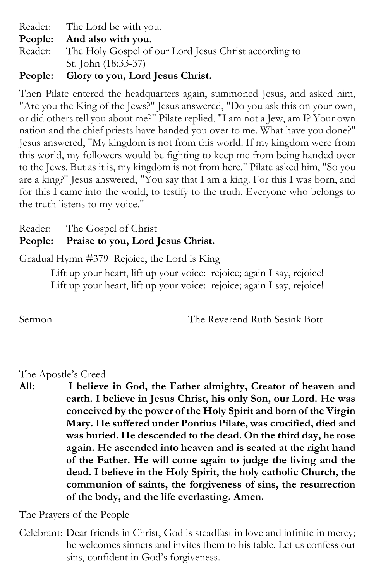Reader: The Lord be with you.

**People: And also with you.**

Reader: The Holy Gospel of our Lord Jesus Christ according to St. John (18:33-37)

# **People: Glory to you, Lord Jesus Christ.**

Then Pilate entered the headquarters again, summoned Jesus, and asked him, "Are you the King of the Jews?" Jesus answered, "Do you ask this on your own, or did others tell you about me?" Pilate replied, "I am not a Jew, am I? Your own nation and the chief priests have handed you over to me. What have you done?" Jesus answered, "My kingdom is not from this world. If my kingdom were from this world, my followers would be fighting to keep me from being handed over to the Jews. But as it is, my kingdom is not from here." Pilate asked him, "So you are a king?" Jesus answered, "You say that I am a king. For this I was born, and for this I came into the world, to testify to the truth. Everyone who belongs to the truth listens to my voice."

Reader: The Gospel of Christ

# **People: Praise to you, Lord Jesus Christ.**

Gradual Hymn #379 Rejoice, the Lord is King

Lift up your heart, lift up your voice: rejoice; again I say, rejoice! Lift up your heart, lift up your voice: rejoice; again I say, rejoice!

Sermon The Reverend Ruth Sesink Bott

#### The Apostle's Creed

**All: I believe in God, the Father almighty, Creator of heaven and earth. I believe in Jesus Christ, his only Son, our Lord. He was conceived by the power of the Holy Spirit and born of the Virgin Mary. He suffered under Pontius Pilate, was crucified, died and was buried. He descended to the dead. On the third day, he rose again. He ascended into heaven and is seated at the right hand of the Father. He will come again to judge the living and the dead. I believe in the Holy Spirit, the holy catholic Church, the communion of saints, the forgiveness of sins, the resurrection of the body, and the life everlasting. Amen.**

The Prayers of the People

Celebrant: Dear friends in Christ, God is steadfast in love and infinite in mercy; he welcomes sinners and invites them to his table. Let us confess our sins, confident in God's forgiveness.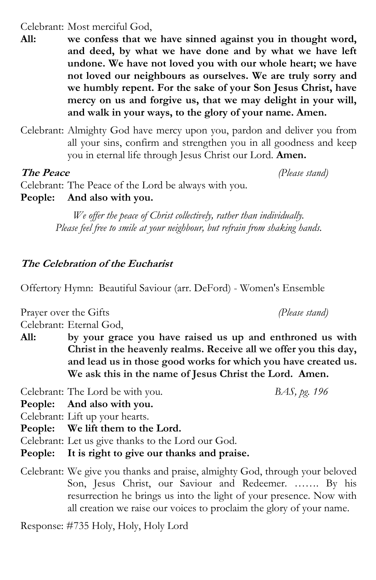#### Celebrant: Most merciful God,

**All: we confess that we have sinned against you in thought word, and deed, by what we have done and by what we have left undone. We have not loved you with our whole heart; we have not loved our neighbours as ourselves. We are truly sorry and we humbly repent. For the sake of your Son Jesus Christ, have mercy on us and forgive us, that we may delight in your will, and walk in your ways, to the glory of your name. Amen.**

Celebrant: Almighty God have mercy upon you, pardon and deliver you from all your sins, confirm and strengthen you in all goodness and keep you in eternal life through Jesus Christ our Lord. **Amen.**

#### **The Peace** *(Please stand)*

Celebrant: The Peace of the Lord be always with you. **People: And also with you.**

> *We offer the peace of Christ collectively, rather than individually. Please feel free to smile at your neighbour, but refrain from shaking hands.*

# **The Celebration of the Eucharist**

Offertory Hymn: Beautiful Saviour (arr. DeFord) - Women's Ensemble

Prayer over the Gifts *(Please stand)*

Celebrant: Eternal God,

**All: by your grace you have raised us up and enthroned us with Christ in the heavenly realms. Receive all we offer you this day, and lead us in those good works for which you have created us. We ask this in the name of Jesus Christ the Lord. Amen.**

Celebrant: The Lord be with you. *BAS, pg. 196*

**People: And also with you.**

Celebrant: Lift up your hearts.

**People: We lift them to the Lord.**

Celebrant: Let us give thanks to the Lord our God.

**People: It is right to give our thanks and praise.**

Celebrant: We give you thanks and praise, almighty God, through your beloved Son, Jesus Christ, our Saviour and Redeemer. ……. By his resurrection he brings us into the light of your presence. Now with all creation we raise our voices to proclaim the glory of your name.

Response: #735 Holy, Holy, Holy Lord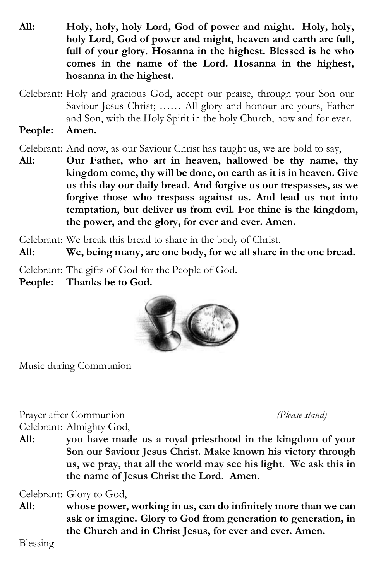- **All: Holy, holy, holy Lord, God of power and might. Holy, holy, holy Lord, God of power and might, heaven and earth are full, full of your glory. Hosanna in the highest. Blessed is he who comes in the name of the Lord. Hosanna in the highest, hosanna in the highest.**
- Celebrant: Holy and gracious God, accept our praise, through your Son our Saviour Jesus Christ; …… All glory and honour are yours, Father and Son, with the Holy Spirit in the holy Church, now and for ever.
- **People: Amen.**

Celebrant: And now, as our Saviour Christ has taught us, we are bold to say,

**All: Our Father, who art in heaven, hallowed be thy name, thy kingdom come, thy will be done, on earth as it is in heaven. Give us this day our daily bread. And forgive us our trespasses, as we forgive those who trespass against us. And lead us not into temptation, but deliver us from evil. For thine is the kingdom, the power, and the glory, for ever and ever. Amen.**

Celebrant: We break this bread to share in the body of Christ.

**All: We, being many, are one body, for we all share in the one bread.**

Celebrant: The gifts of God for the People of God.

**People: Thanks be to God.**



Music during Communion

Prayer after Communion *(Please stand)* Celebrant: Almighty God,

**All: you have made us a royal priesthood in the kingdom of your Son our Saviour Jesus Christ. Make known his victory through us, we pray, that all the world may see his light. We ask this in the name of Jesus Christ the Lord. Amen.**

Celebrant: Glory to God,

**All: whose power, working in us, can do infinitely more than we can ask or imagine. Glory to God from generation to generation, in the Church and in Christ Jesus, for ever and ever. Amen.**

Blessing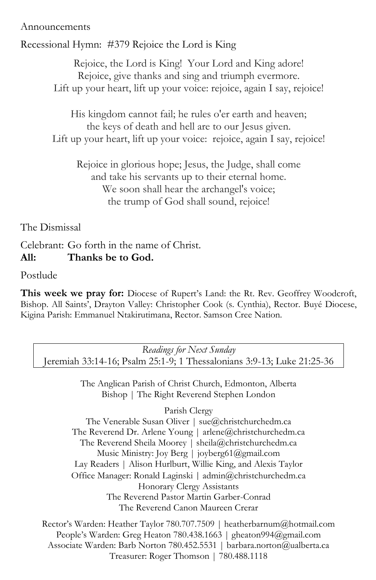#### Announcements

Recessional Hymn: #379 Rejoice the Lord is King

Rejoice, the Lord is King! Your Lord and King adore! Rejoice, give thanks and sing and triumph evermore. Lift up your heart, lift up your voice: rejoice, again I say, rejoice!

His kingdom cannot fail; he rules o'er earth and heaven; the keys of death and hell are to our Jesus given. Lift up your heart, lift up your voice: rejoice, again I say, rejoice!

Rejoice in glorious hope; Jesus, the Judge, shall come and take his servants up to their eternal home. We soon shall hear the archangel's voice; the trump of God shall sound, rejoice!

The Dismissal

Celebrant: Go forth in the name of Christ. **All: Thanks be to God.**

Postlude

**This week we pray for:** Diocese of Rupert's Land: the Rt. Rev. Geoffrey Woodcroft, Bishop. All Saints', Drayton Valley: Christopher Cook (s. Cynthia), Rector. Buyé Diocese, Kigina Parish: Emmanuel Ntakirutimana, Rector. Samson Cree Nation.

*Readings for Next Sunday* Jeremiah 33:14-16; Psalm 25:1-9; 1 Thessalonians 3:9-13; Luke 21:25-36

> The Anglican Parish of Christ Church, Edmonton, Alberta Bishop | The Right Reverend Stephen London

> > Parish Clergy

The Venerable Susan Oliver [| sue@christchurchedm.ca](mailto:sue@christchurchedm.ca) The Reverend Dr. Arlene Young | [arlene@christchurchedm.ca](mailto:arlene@christchurchedm.ca) The Reverend Sheila Moorey | sheila@christchurchedm.ca Music Ministry: Joy Berg | joyberg61@gmail.com Lay Readers | Alison Hurlburt, Willie King, and Alexis Taylor Office Manager: Ronald Laginski | admin@christchurchedm.ca Honorary Clergy Assistants The Reverend Pastor Martin Garber-Conrad The Reverend Canon Maureen Crerar

Rector's Warden: Heather Taylor 780.707.7509 | heatherbarnum@hotmail.com People's Warden: Greg Heaton 780.438.1663 | gheaton994@gmail.com Associate Warden: Barb Norton 780.452.5531 | barbara.norton@ualberta.ca Treasurer: Roger Thomson | 780.488.1118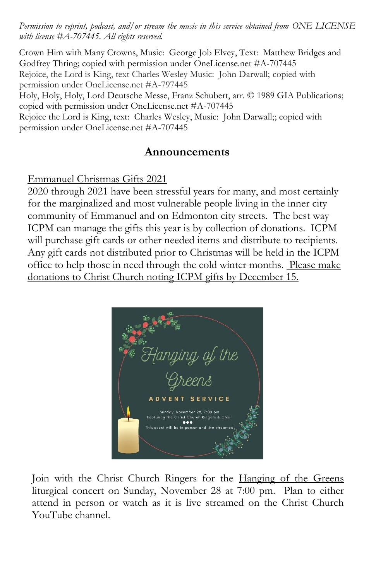*Permission to reprint, podcast, and/or stream the music in this service obtained from ONE LICENSE with license #A-707445. All rights reserved.*

Crown Him with Many Crowns, Music: George Job Elvey, Text: Matthew Bridges and Godfrey Thring; copied with permission under OneLicense.net #A-707445 Rejoice, the Lord is King, text Charles Wesley Music: John Darwall; copied with permission under OneLicense.net #A-797445 Holy, Holy, Holy, Lord Deutsche Messe, Franz Schubert, arr. © 1989 GIA Publications; copied with permission under OneLicense.net #A-707445

Rejoice the Lord is King, text: Charles Wesley, Music: John Darwall;; copied with permission under OneLicense.net #A-707445

# **Announcements**

### Emmanuel Christmas Gifts 2021

2020 through 2021 have been stressful years for many, and most certainly for the marginalized and most vulnerable people living in the inner city community of Emmanuel and on Edmonton city streets. The best way ICPM can manage the gifts this year is by collection of donations. ICPM will purchase gift cards or other needed items and distribute to recipients. Any gift cards not distributed prior to Christmas will be held in the ICPM office to help those in need through the cold winter months. Please make donations to Christ Church noting ICPM gifts by December 15.



Join with the Christ Church Ringers for the Hanging of the Greens liturgical concert on Sunday, November 28 at 7:00 pm. Plan to either attend in person or watch as it is live streamed on the Christ Church YouTube channel.